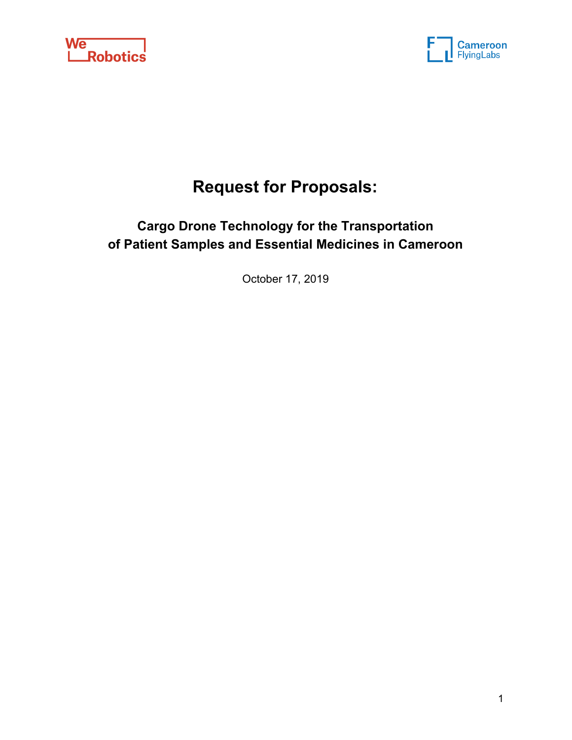



# **Request for Proposals:**

## **Cargo Drone Technology for the Transportation of Patient Samples and Essential Medicines in Cameroon**

October 17, 2019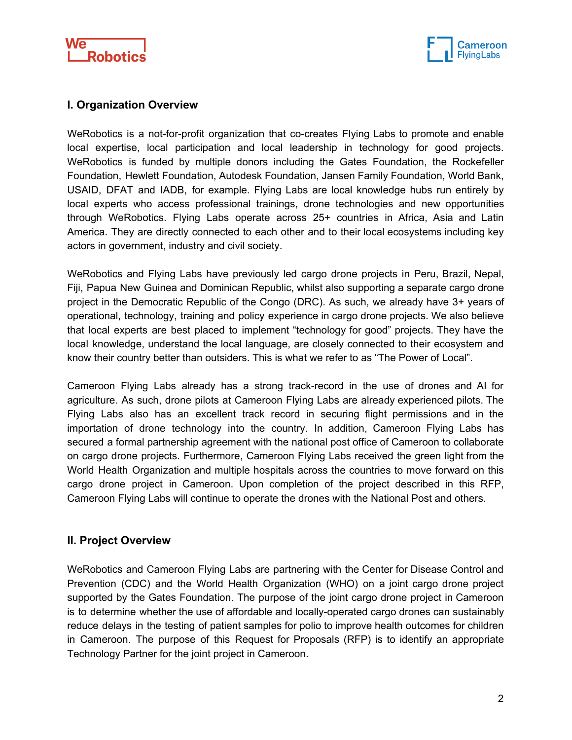



## **I. Organization Overview**

WeRobotics is a not-for-profit organization that co-creates Flying Labs to promote and enable local expertise, local participation and local leadership in technology for good projects. WeRobotics is funded by multiple donors including the Gates Foundation, the Rockefeller Foundation, Hewlett Foundation, Autodesk Foundation, Jansen Family Foundation, World Bank, USAID, DFAT and IADB, for example. Flying Labs are local knowledge hubs run entirely by local experts who access professional trainings, drone technologies and new opportunities through WeRobotics. Flying Labs operate across 25+ countries in Africa, Asia and Latin America. They are directly connected to each other and to their local ecosystems including key actors in government, industry and civil society.

WeRobotics and Flying Labs have previously led cargo drone projects in Peru, Brazil, Nepal, Fiji, Papua New Guinea and Dominican Republic, whilst also supporting a separate cargo drone project in the Democratic Republic of the Congo (DRC). As such, we already have 3+ years of operational, technology, training and policy experience in cargo drone projects. We also believe that local experts are best placed to implement "technology for good" projects. They have the local knowledge, understand the local language, are closely connected to their ecosystem and know their country better than outsiders. This is what we refer to as "The Power of Local".

Cameroon Flying Labs already has a strong track-record in the use of drones and AI for agriculture. As such, drone pilots at Cameroon Flying Labs are already experienced pilots. The Flying Labs also has an excellent track record in securing flight permissions and in the importation of drone technology into the country. In addition, Cameroon Flying Labs has secured a formal partnership agreement with the national post office of Cameroon to collaborate on cargo drone projects. Furthermore, Cameroon Flying Labs received the green light from the World Health Organization and multiple hospitals across the countries to move forward on this cargo drone project in Cameroon. Upon completion of the project described in this RFP, Cameroon Flying Labs will continue to operate the drones with the National Post and others.

## **II. Project Overview**

WeRobotics and Cameroon Flying Labs are partnering with the Center for Disease Control and Prevention (CDC) and the World Health Organization (WHO) on a joint cargo drone project supported by the Gates Foundation. The purpose of the joint cargo drone project in Cameroon is to determine whether the use of affordable and locally-operated cargo drones can sustainably reduce delays in the testing of patient samples for polio to improve health outcomes for children in Cameroon. The purpose of this Request for Proposals (RFP) is to identify an appropriate Technology Partner for the joint project in Cameroon.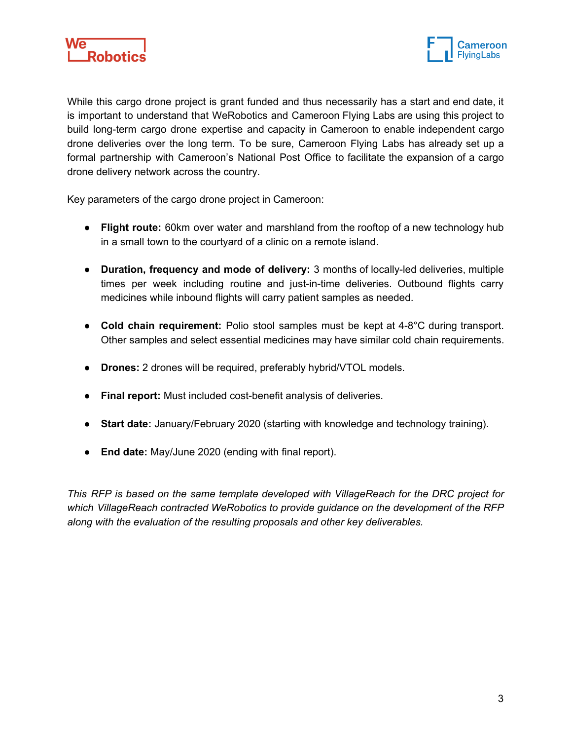



While this cargo drone project is grant funded and thus necessarily has a start and end date, it is important to understand that WeRobotics and Cameroon Flying Labs are using this project to build long-term cargo drone expertise and capacity in Cameroon to enable independent cargo drone deliveries over the long term. To be sure, Cameroon Flying Labs has already set up a formal partnership with Cameroon's National Post Office to facilitate the expansion of a cargo drone delivery network across the country.

Key parameters of the cargo drone project in Cameroon:

- **Flight route:** 60km over water and marshland from the rooftop of a new technology hub in a small town to the courtyard of a clinic on a remote island.
- **● Duration, frequency and mode of delivery:** 3 months of locally-led deliveries, multiple times per week including routine and just-in-time deliveries. Outbound flights carry medicines while inbound flights will carry patient samples as needed.
- **● Cold chain requirement:** Polio stool samples must be kept at 4-8°C during transport. Other samples and select essential medicines may have similar cold chain requirements.
- **● Drones:** 2 drones will be required, preferably hybrid/VTOL models.
- **● Final report:** Must included cost-benefit analysis of deliveries.
- **● Start date:** January/February 2020 (starting with knowledge and technology training).
- **End date:** May/June 2020 (ending with final report).

*This RFP is based on the same template developed with VillageReach for the DRC project for which VillageReach contracted WeRobotics to provide guidance on the development of the RFP along with the evaluation of the resulting proposals and other key deliverables.*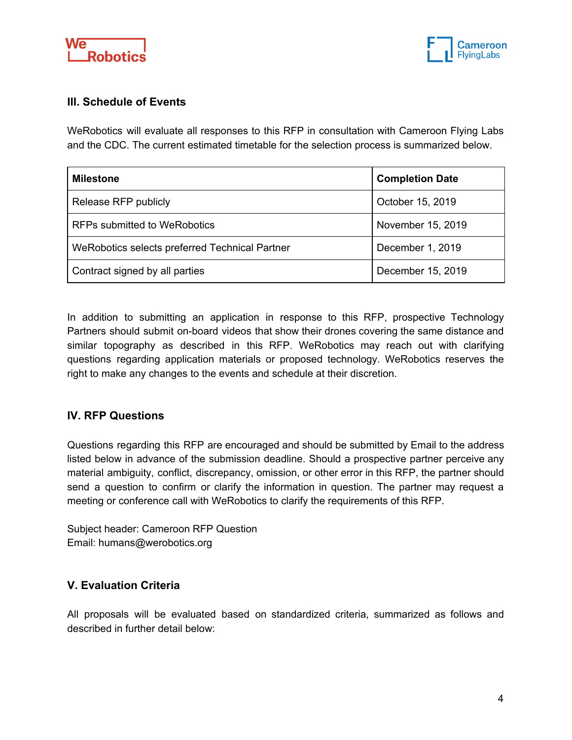



## **III. Schedule of Events**

WeRobotics will evaluate all responses to this RFP in consultation with Cameroon Flying Labs and the CDC. The current estimated timetable for the selection process is summarized below.

| <b>Milestone</b>                               | <b>Completion Date</b> |
|------------------------------------------------|------------------------|
| Release RFP publicly                           | October 15, 2019       |
| <b>RFPs submitted to WeRobotics</b>            | November 15, 2019      |
| WeRobotics selects preferred Technical Partner | December 1, 2019       |
| Contract signed by all parties                 | December 15, 2019      |

In addition to submitting an application in response to this RFP, prospective Technology Partners should submit on-board videos that show their drones covering the same distance and similar topography as described in this RFP. WeRobotics may reach out with clarifying questions regarding application materials or proposed technology. WeRobotics reserves the right to make any changes to the events and schedule at their discretion.

## **IV. RFP Questions**

Questions regarding this RFP are encouraged and should be submitted by Email to the address listed below in advance of the submission deadline. Should a prospective partner perceive any material ambiguity, conflict, discrepancy, omission, or other error in this RFP, the partner should send a question to confirm or clarify the information in question. The partner may request a meeting or conference call with WeRobotics to clarify the requirements of this RFP.

Subject header: Cameroon RFP Question Email: humans@werobotics.org

## **V. Evaluation Criteria**

All proposals will be evaluated based on standardized criteria, summarized as follows and described in further detail below: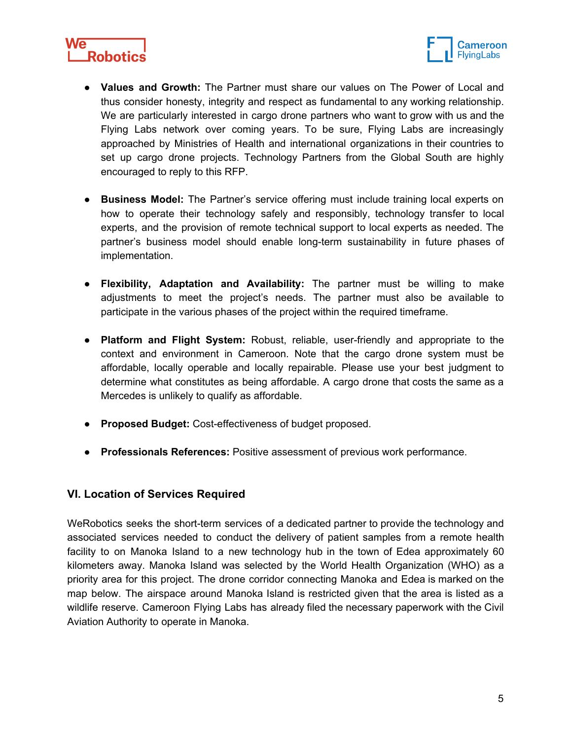



- **Values and Growth:** The Partner must share our values on The Power of Local and thus consider honesty, integrity and respect as fundamental to any working relationship. We are particularly interested in cargo drone partners who want to grow with us and the Flying Labs network over coming years. To be sure, Flying Labs are increasingly approached by Ministries of Health and international organizations in their countries to set up cargo drone projects. Technology Partners from the Global South are highly encouraged to reply to this RFP.
- **● Business Model:** The Partner's service offering must include training local experts on how to operate their technology safely and responsibly, technology transfer to local experts, and the provision of remote technical support to local experts as needed. The partner's business model should enable long-term sustainability in future phases of implementation.
- **Flexibility, Adaptation and Availability:** The partner must be willing to make adjustments to meet the project's needs. The partner must also be available to participate in the various phases of the project within the required timeframe.
- **● Platform and Flight System:** Robust, reliable, user-friendly and appropriate to the context and environment in Cameroon. Note that the cargo drone system must be affordable, locally operable and locally repairable. Please use your best judgment to determine what constitutes as being affordable. A cargo drone that costs the same as a Mercedes is unlikely to qualify as affordable.
- **● Proposed Budget:** Cost-effectiveness of budget proposed.
- **● Professionals References:** Positive assessment of previous work performance.

## **VI. Location of Services Required**

WeRobotics seeks the short-term services of a dedicated partner to provide the technology and associated services needed to conduct the delivery of patient samples from a remote health facility to on Manoka Island to a new technology hub in the town of Edea approximately 60 kilometers away. Manoka Island was selected by the World Health Organization (WHO) as a priority area for this project. The drone corridor connecting Manoka and Edea is marked on the map below. The airspace around Manoka Island is restricted given that the area is listed as a wildlife reserve. Cameroon Flying Labs has already filed the necessary paperwork with the Civil Aviation Authority to operate in Manoka.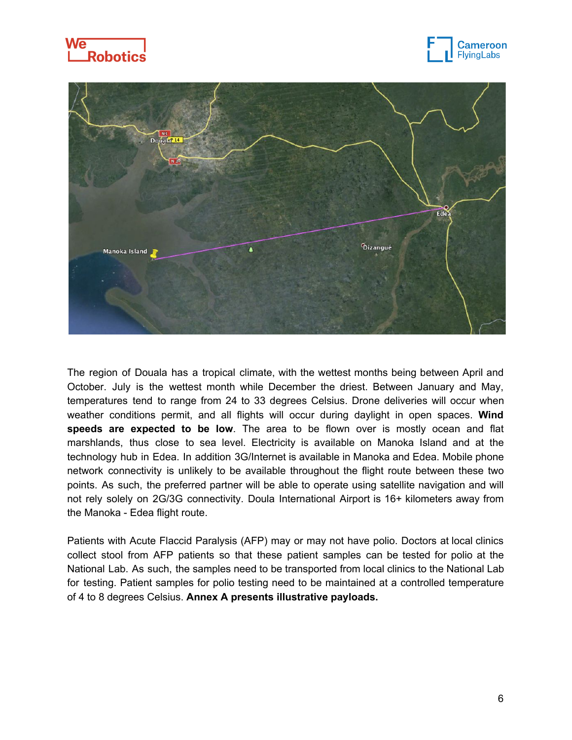





The region of Douala has a tropical climate, with the wettest months being between April and October. July is the wettest month while December the driest. Between January and May, temperatures tend to range from 24 to 33 degrees Celsius. Drone deliveries will occur when weather conditions permit, and all flights will occur during daylight in open spaces. **Wind speeds are expected to be low**. The area to be flown over is mostly ocean and flat marshlands, thus close to sea level. Electricity is available on Manoka Island and at the technology hub in Edea. In addition 3G/Internet is available in Manoka and Edea. Mobile phone network connectivity is unlikely to be available throughout the flight route between these two points. As such, the preferred partner will be able to operate using satellite navigation and will not rely solely on 2G/3G connectivity. Doula International Airport is 16+ kilometers away from the Manoka - Edea flight route.

Patients with Acute Flaccid Paralysis (AFP) may or may not have polio. Doctors at local clinics collect stool from AFP patients so that these patient samples can be tested for polio at the National Lab. As such, the samples need to be transported from local clinics to the National Lab for testing. Patient samples for polio testing need to be maintained at a controlled temperature of 4 to 8 degrees Celsius. **Annex A presents illustrative payloads.**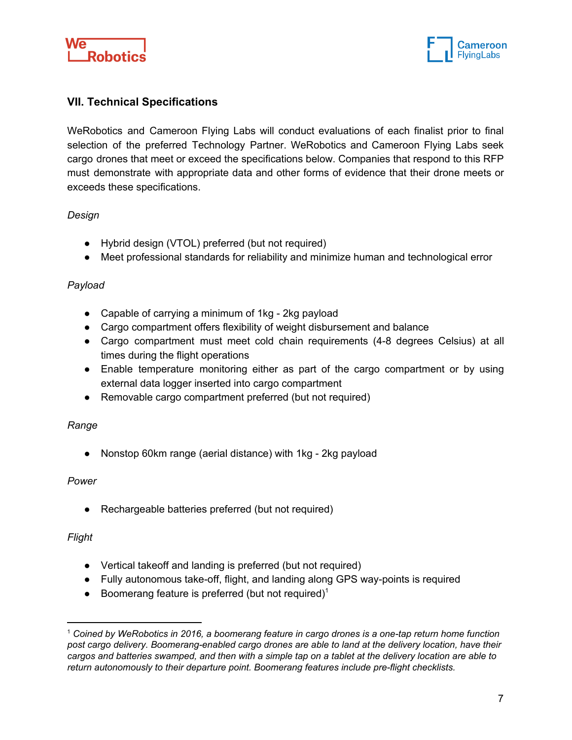



## **VII. Technical Specifications**

WeRobotics and Cameroon Flying Labs will conduct evaluations of each finalist prior to final selection of the preferred Technology Partner. WeRobotics and Cameroon Flying Labs seek cargo drones that meet or exceed the specifications below. Companies that respond to this RFP must demonstrate with appropriate data and other forms of evidence that their drone meets or exceeds these specifications.

#### *Design*

- Hybrid design (VTOL) preferred (but not required)
- Meet professional standards for reliability and minimize human and technological error

#### *Payload*

- Capable of carrying a minimum of 1kg 2kg payload
- Cargo compartment offers flexibility of weight disbursement and balance
- Cargo compartment must meet cold chain requirements (4-8 degrees Celsius) at all times during the flight operations
- Enable temperature monitoring either as part of the cargo compartment or by using external data logger inserted into cargo compartment
- Removable cargo compartment preferred (but not required)

#### *Range*

● Nonstop 60km range (aerial distance) with 1kg - 2kg payload

#### *Power*

● Rechargeable batteries preferred (but not required)

#### *Flight*

- Vertical takeoff and landing is preferred (but not required)
- Fully autonomous take-off, flight, and landing along GPS way-points is required
- $\bullet$  Boomerang feature is preferred (but not required)<sup>1</sup>

<sup>1</sup> *Coined by WeRobotics in 2016, a boomerang feature in cargo drones is a one-tap return home function post cargo delivery. Boomerang-enabled cargo drones are able to land at the delivery location, have their* cargos and batteries swamped, and then with a simple tap on a tablet at the delivery location are able to *return autonomously to their departure point. Boomerang features include pre-flight checklists.*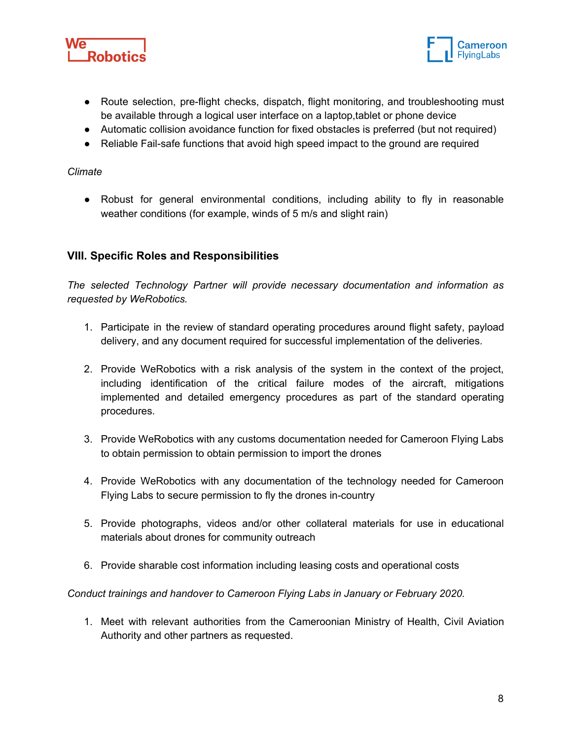



- Route selection, pre-flight checks, dispatch, flight monitoring, and troubleshooting must be available through a logical user interface on a laptop,tablet or phone device
- Automatic collision avoidance function for fixed obstacles is preferred (but not required)
- Reliable Fail-safe functions that avoid high speed impact to the ground are required

#### *Climate*

● Robust for general environmental conditions, including ability to fly in reasonable weather conditions (for example, winds of 5 m/s and slight rain)

## **VIII. Specific Roles and Responsibilities**

*The selected Technology Partner will provide necessary documentation and information as requested by WeRobotics.*

- 1. Participate in the review of standard operating procedures around flight safety, payload delivery, and any document required for successful implementation of the deliveries.
- 2. Provide WeRobotics with a risk analysis of the system in the context of the project, including identification of the critical failure modes of the aircraft, mitigations implemented and detailed emergency procedures as part of the standard operating procedures.
- 3. Provide WeRobotics with any customs documentation needed for Cameroon Flying Labs to obtain permission to obtain permission to import the drones
- 4. Provide WeRobotics with any documentation of the technology needed for Cameroon Flying Labs to secure permission to fly the drones in-country
- 5. Provide photographs, videos and/or other collateral materials for use in educational materials about drones for community outreach
- 6. Provide sharable cost information including leasing costs and operational costs

*Conduct trainings and handover to Cameroon Flying Labs in January or February 2020.*

1. Meet with relevant authorities from the Cameroonian Ministry of Health, Civil Aviation Authority and other partners as requested.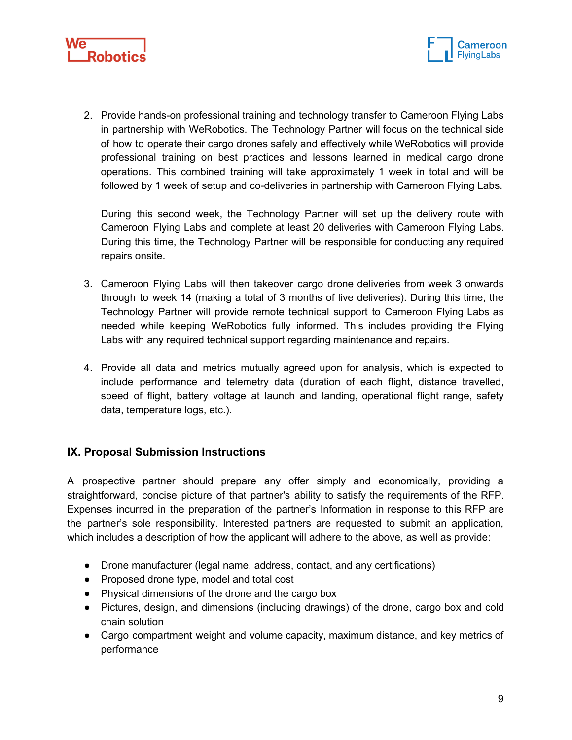



2. Provide hands-on professional training and technology transfer to Cameroon Flying Labs in partnership with WeRobotics. The Technology Partner will focus on the technical side of how to operate their cargo drones safely and effectively while WeRobotics will provide professional training on best practices and lessons learned in medical cargo drone operations. This combined training will take approximately 1 week in total and will be followed by 1 week of setup and co-deliveries in partnership with Cameroon Flying Labs.

During this second week, the Technology Partner will set up the delivery route with Cameroon Flying Labs and complete at least 20 deliveries with Cameroon Flying Labs. During this time, the Technology Partner will be responsible for conducting any required repairs onsite.

- 3. Cameroon Flying Labs will then takeover cargo drone deliveries from week 3 onwards through to week 14 (making a total of 3 months of live deliveries). During this time, the Technology Partner will provide remote technical support to Cameroon Flying Labs as needed while keeping WeRobotics fully informed. This includes providing the Flying Labs with any required technical support regarding maintenance and repairs.
- 4. Provide all data and metrics mutually agreed upon for analysis, which is expected to include performance and telemetry data (duration of each flight, distance travelled, speed of flight, battery voltage at launch and landing, operational flight range, safety data, temperature logs, etc.).

## **IX. Proposal Submission Instructions**

A prospective partner should prepare any offer simply and economically, providing a straightforward, concise picture of that partner's ability to satisfy the requirements of the RFP. Expenses incurred in the preparation of the partner's Information in response to this RFP are the partner's sole responsibility. Interested partners are requested to submit an application, which includes a description of how the applicant will adhere to the above, as well as provide:

- Drone manufacturer (legal name, address, contact, and any certifications)
- Proposed drone type, model and total cost
- Physical dimensions of the drone and the cargo box
- Pictures, design, and dimensions (including drawings) of the drone, cargo box and cold chain solution
- Cargo compartment weight and volume capacity, maximum distance, and key metrics of performance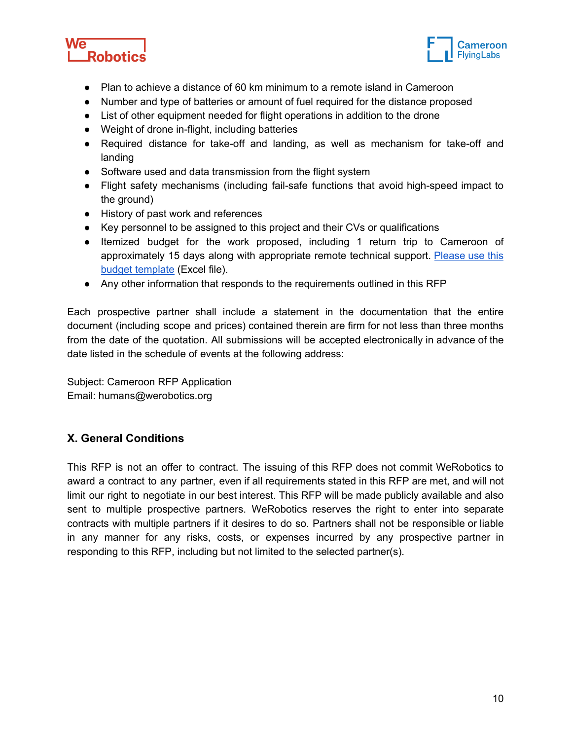



- Plan to achieve a distance of 60 km minimum to a remote island in Cameroon
- Number and type of batteries or amount of fuel required for the distance proposed
- List of other equipment needed for flight operations in addition to the drone
- Weight of drone in-flight, including batteries
- Required distance for take-off and landing, as well as mechanism for take-off and landing
- Software used and data transmission from the flight system
- Flight safety mechanisms (including fail-safe functions that avoid high-speed impact to the ground)
- History of past work and references
- Key personnel to be assigned to this project and their CVs or qualifications
- Itemized budget for the work proposed, including 1 return trip to Cameroon of approximately 15 days along with appropriate remote technical support. [Please](https://blog.werobotics.org/wp-content/uploads/2019/10/RFP-Cameroon-Cargo-Drone-Project-RFP-Budget.xlsx) use this budget [template](https://blog.werobotics.org/wp-content/uploads/2019/10/RFP-Cameroon-Cargo-Drone-Project-RFP-Budget.xlsx) (Excel file).
- Any other information that responds to the requirements outlined in this RFP

Each prospective partner shall include a statement in the documentation that the entire document (including scope and prices) contained therein are firm for not less than three months from the date of the quotation. All submissions will be accepted electronically in advance of the date listed in the schedule of events at the following address:

Subject: Cameroon RFP Application Email: humans@werobotics.org

## **X. General Conditions**

This RFP is not an offer to contract. The issuing of this RFP does not commit WeRobotics to award a contract to any partner, even if all requirements stated in this RFP are met, and will not limit our right to negotiate in our best interest. This RFP will be made publicly available and also sent to multiple prospective partners. WeRobotics reserves the right to enter into separate contracts with multiple partners if it desires to do so. Partners shall not be responsible or liable in any manner for any risks, costs, or expenses incurred by any prospective partner in responding to this RFP, including but not limited to the selected partner(s).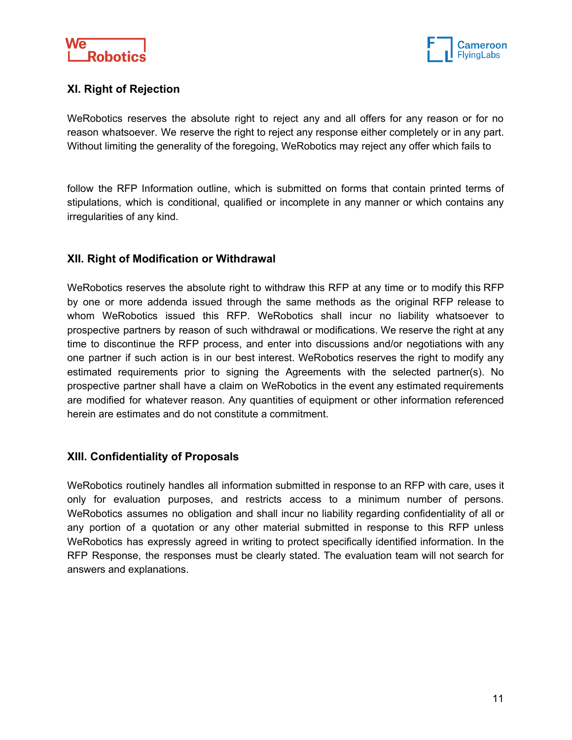



## **XI. Right of Rejection**

WeRobotics reserves the absolute right to reject any and all offers for any reason or for no reason whatsoever. We reserve the right to reject any response either completely or in any part. Without limiting the generality of the foregoing, WeRobotics may reject any offer which fails to

follow the RFP Information outline, which is submitted on forms that contain printed terms of stipulations, which is conditional, qualified or incomplete in any manner or which contains any irregularities of any kind.

## **XII. Right of Modification or Withdrawal**

WeRobotics reserves the absolute right to withdraw this RFP at any time or to modify this RFP by one or more addenda issued through the same methods as the original RFP release to whom WeRobotics issued this RFP. WeRobotics shall incur no liability whatsoever to prospective partners by reason of such withdrawal or modifications. We reserve the right at any time to discontinue the RFP process, and enter into discussions and/or negotiations with any one partner if such action is in our best interest. WeRobotics reserves the right to modify any estimated requirements prior to signing the Agreements with the selected partner(s). No prospective partner shall have a claim on WeRobotics in the event any estimated requirements are modified for whatever reason. Any quantities of equipment or other information referenced herein are estimates and do not constitute a commitment.

## **XIII. Confidentiality of Proposals**

WeRobotics routinely handles all information submitted in response to an RFP with care, uses it only for evaluation purposes, and restricts access to a minimum number of persons. WeRobotics assumes no obligation and shall incur no liability regarding confidentiality of all or any portion of a quotation or any other material submitted in response to this RFP unless WeRobotics has expressly agreed in writing to protect specifically identified information. In the RFP Response, the responses must be clearly stated. The evaluation team will not search for answers and explanations.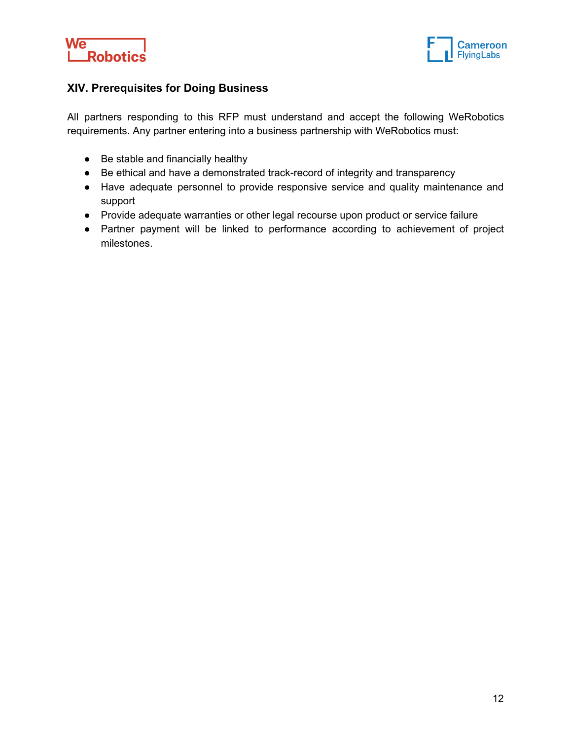



## **XIV. Prerequisites for Doing Business**

All partners responding to this RFP must understand and accept the following WeRobotics requirements. Any partner entering into a business partnership with WeRobotics must:

- Be stable and financially healthy
- Be ethical and have a demonstrated track-record of integrity and transparency
- Have adequate personnel to provide responsive service and quality maintenance and support
- Provide adequate warranties or other legal recourse upon product or service failure
- Partner payment will be linked to performance according to achievement of project milestones.